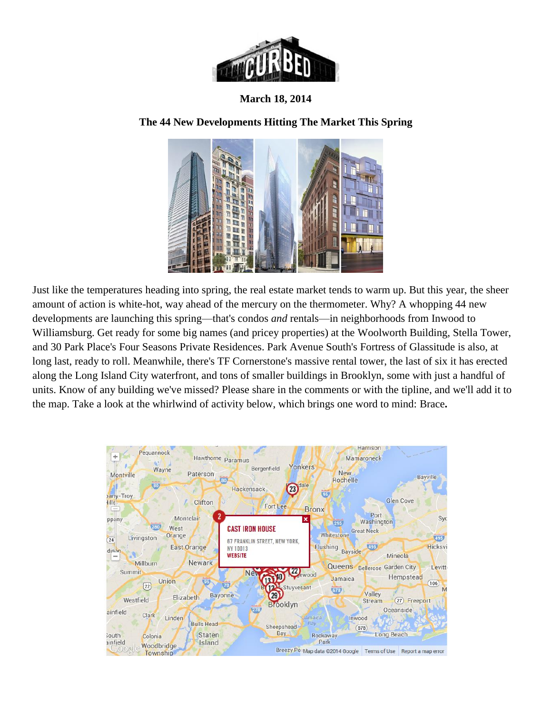

**March 18, 2014**

## **[The 44 New Developments Hitting The Market This Spring](http://ny.curbed.com/archives/2014/03/18/the_44_new_developments_hitting_the_market_this_spring.php)**



Just like the temperatures heading into spring, the real estate market tends to warm up. But this year, the sheer amount of action is white-hot, way ahead of the mercury on the thermometer. Why? A whopping 44 new developments are launching this spring—that's condos *and* rentals—in neighborhoods from Inwood to Williamsburg. Get ready for some big names (and pricey properties) at the [Woolworth Building,](http://ny.curbed.com/places/woolworth-building) [Stella Tower,](http://ny.curbed.com/places/435-west-50th-street) and 30 Park Place's [Four Seasons Private Residences.](http://ny.curbed.com/places/30-park-place) Park Avenue South's [Fortress of Glassitude](http://ny.curbed.com/places/400-park-avenue-south) is also, at long last, ready to roll. Meanwhile, there's TF Cornerstone's [massive rental tower,](http://ny.curbed.com/tags/46-10-center-boulevard) the last of six it has erected along the Long Island City waterfront, and tons of smaller buildings in Brooklyn, some with just a handful of units. Know of any building we've missed? Please share in the comments or with the [tipline,](mailto:tips@curbed.com) and we'll add it to the map. Take a look at the whirlwind of activity below, which brings one word to mind: Brace**.**